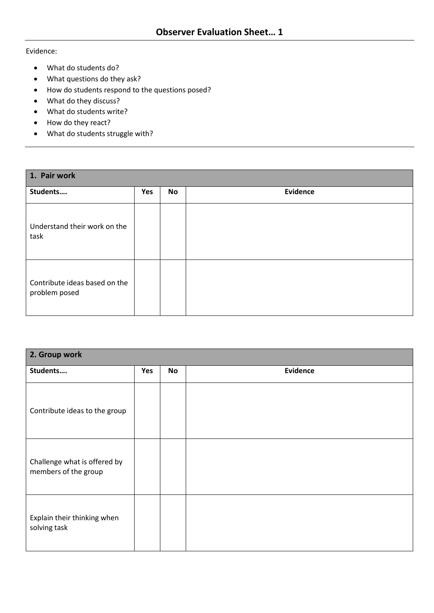Evidence:

- What do students do?
- What questions do they ask?
- How do students respond to the questions posed?
- What do they discuss?
- What do students write?
- How do they react?
- What do students struggle with?

| 1. Pair work                                   |     |           |                 |  |  |
|------------------------------------------------|-----|-----------|-----------------|--|--|
| Students                                       | Yes | <b>No</b> | <b>Evidence</b> |  |  |
| Understand their work on the<br>task           |     |           |                 |  |  |
| Contribute ideas based on the<br>problem posed |     |           |                 |  |  |

| 2. Group work                                        |     |           |                 |  |  |
|------------------------------------------------------|-----|-----------|-----------------|--|--|
| Students                                             | Yes | <b>No</b> | <b>Evidence</b> |  |  |
| Contribute ideas to the group                        |     |           |                 |  |  |
| Challenge what is offered by<br>members of the group |     |           |                 |  |  |
| Explain their thinking when<br>solving task          |     |           |                 |  |  |